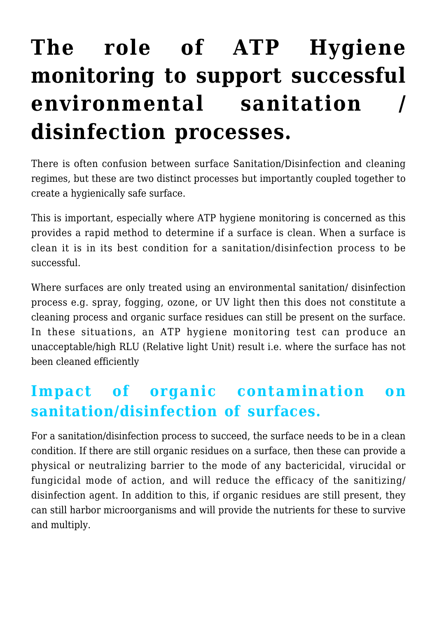## **[The role of ATP Hygiene](https://help.hygiena.com/kb-doc/the-role-of-atp-hygiene-monitoring-to-support-successful-environmental-sanitation-disinfection-processes/) [monitoring to support successful](https://help.hygiena.com/kb-doc/the-role-of-atp-hygiene-monitoring-to-support-successful-environmental-sanitation-disinfection-processes/) [environmental sanitation /](https://help.hygiena.com/kb-doc/the-role-of-atp-hygiene-monitoring-to-support-successful-environmental-sanitation-disinfection-processes/) [disinfection processes.](https://help.hygiena.com/kb-doc/the-role-of-atp-hygiene-monitoring-to-support-successful-environmental-sanitation-disinfection-processes/)**

There is often confusion between surface Sanitation/Disinfection and cleaning regimes, but these are two distinct processes but importantly coupled together to create a hygienically safe surface.

This is important, especially where ATP hygiene monitoring is concerned as this provides a rapid method to determine if a surface is clean. When a surface is clean it is in its best condition for a sanitation/disinfection process to be successful.

Where surfaces are only treated using an environmental sanitation/ disinfection process e.g. spray, fogging, ozone, or UV light then this does not constitute a cleaning process and organic surface residues can still be present on the surface. In these situations, an ATP hygiene monitoring test can produce an unacceptable/high RLU (Relative light Unit) result i.e. where the surface has not been cleaned efficiently

## **Impact of organic contamination on sanitation/disinfection of surfaces.**

For a sanitation/disinfection process to succeed, the surface needs to be in a clean condition. If there are still organic residues on a surface, then these can provide a physical or neutralizing barrier to the mode of any bactericidal, virucidal or fungicidal mode of action, and will reduce the efficacy of the sanitizing/ disinfection agent. In addition to this, if organic residues are still present, they can still harbor microorganisms and will provide the nutrients for these to survive and multiply.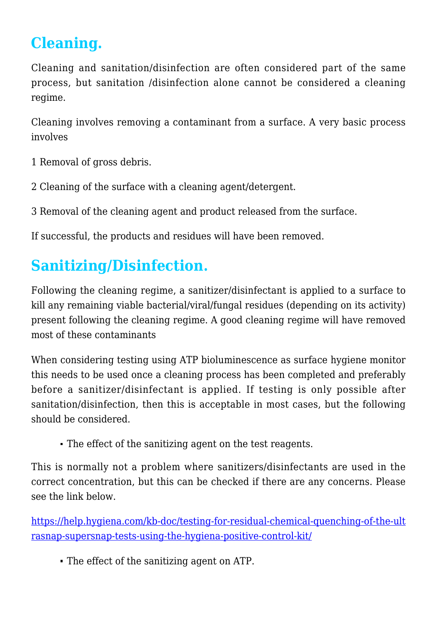## **Cleaning.**

Cleaning and sanitation/disinfection are often considered part of the same process, but sanitation /disinfection alone cannot be considered a cleaning regime.

Cleaning involves removing a contaminant from a surface. A very basic process involves

- 1 Removal of gross debris.
- 2 Cleaning of the surface with a cleaning agent/detergent.

3 Removal of the cleaning agent and product released from the surface.

If successful, the products and residues will have been removed.

## **Sanitizing/Disinfection.**

Following the cleaning regime, a sanitizer/disinfectant is applied to a surface to kill any remaining viable bacterial/viral/fungal residues (depending on its activity) present following the cleaning regime. A good cleaning regime will have removed most of these contaminants

When considering testing using ATP bioluminescence as surface hygiene monitor this needs to be used once a cleaning process has been completed and preferably before a sanitizer/disinfectant is applied. If testing is only possible after sanitation/disinfection, then this is acceptable in most cases, but the following should be considered.

The effect of the sanitizing agent on the test reagents.

This is normally not a problem where sanitizers/disinfectants are used in the correct concentration, but this can be checked if there are any concerns. Please see the link below.

[https://help.hygiena.com/kb-doc/testing-for-residual-chemical-quenching-of-the-ult](https://help.hygiena.com/kb-doc/testing-for-residual-chemical-quenching-of-the-ultrasnap-supersnap-tests-using-the-hygiena-positive-control-kit/) [rasnap-supersnap-tests-using-the-hygiena-positive-control-kit/](https://help.hygiena.com/kb-doc/testing-for-residual-chemical-quenching-of-the-ultrasnap-supersnap-tests-using-the-hygiena-positive-control-kit/)

The effect of the sanitizing agent on ATP.